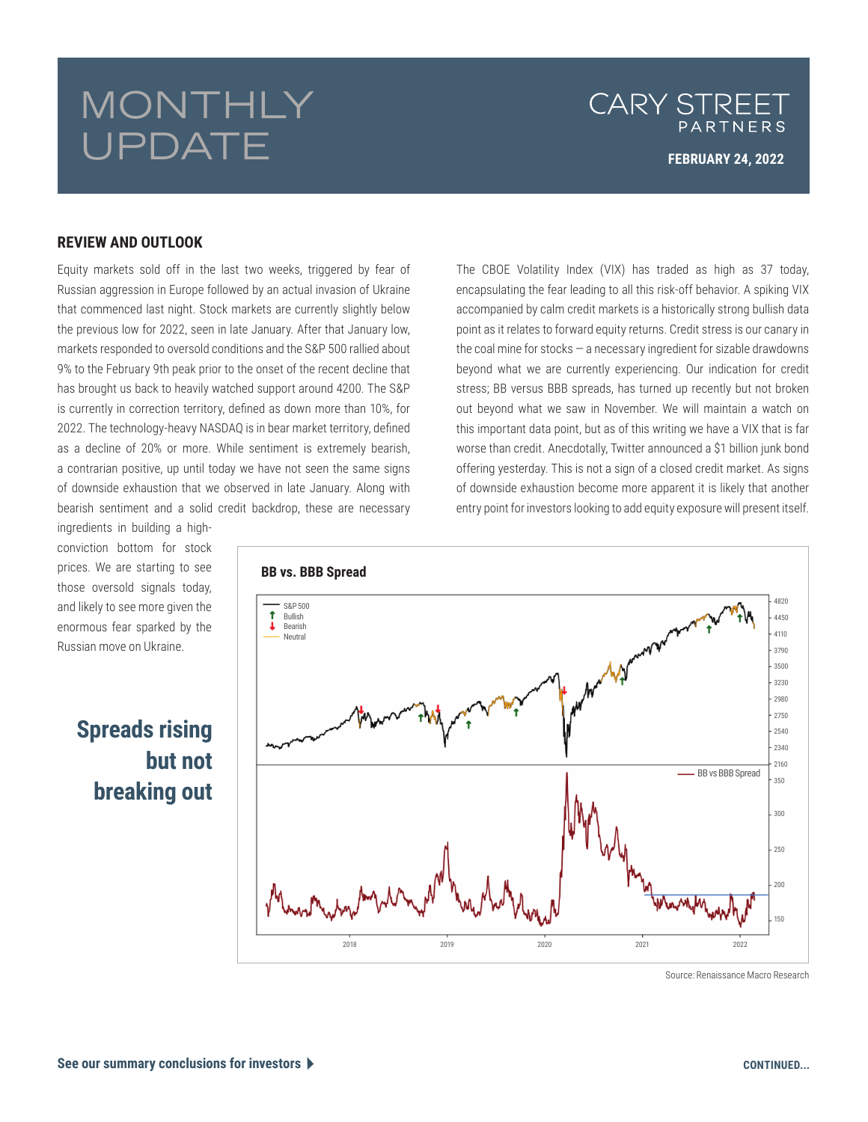# MONTHLY UPDATE

### CARY STREET **PARTNERS**

### **REVIEW AND OUTLOOK**

Equity markets sold off in the last two weeks, triggered by fear of Russian aggression in Europe followed by an actual invasion of Ukraine that commenced last night. Stock markets are currently slightly below the previous low for 2022, seen in late January. After that January low, markets responded to oversold conditions and the S&P 500 rallied about 9% to the February 9th peak prior to the onset of the recent decline that has brought us back to heavily watched support around 4200. The S&P is currently in correction territory, defined as down more than 10%, for 2022. The technology-heavy NASDAQ is in bear market territory, defined as a decline of 20% or more. While sentiment is extremely bearish, a contrarian positive, up until today we have not seen the same signs of downside exhaustion that we observed in late January. Along with bearish sentiment and a solid credit backdrop, these are necessary

ingredients in building a highconviction bottom for stock prices. We are starting to see those oversold signals today, and likely to see more given the enormous fear sparked by the Russian move on Ukraine.

# **Spreads rising but not breaking out**

encapsulating the fear leading to all this risk-off behavior. A spiking VIX accompanied by calm credit markets is a historically strong bullish data point as it relates to forward equity returns. Credit stress is our canary in the coal mine for stocks — a necessary ingredient for sizable drawdowns beyond what we are currently experiencing. Our indication for credit stress; BB versus BBB spreads, has turned up recently but not broken out beyond what we saw in November. We will maintain a watch on this important data point, but as of this writing we have a VIX that is far worse than credit. Anecdotally, Twitter announced a \$1 billion junk bond offering yesterday. This is not a sign of a closed credit market. As signs of downside exhaustion become more apparent it is likely that another entry point for investors looking to add equity exposure will present itself.

The CBOE Volatility Index (VIX) has traded as high as 37 today,



Source: Renaissance Macro Research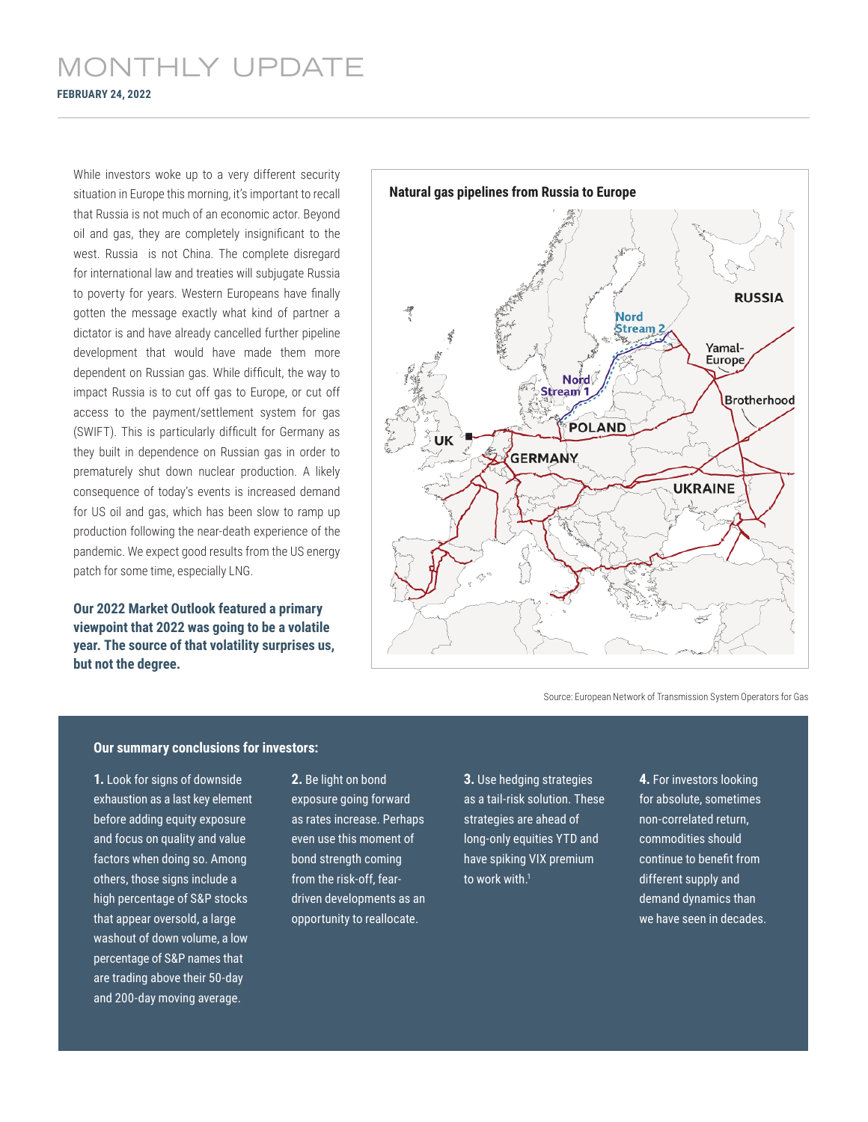## **FEBRUARY 24, 2022** MONTHLY UPDATE

While investors woke up to a very different security situation in Europe this morning, it's important to recall that Russia is not much of an economic actor. Beyond oil and gas, they are completely insignificant to the west. Russia is not China. The complete disregard for international law and treaties will subjugate Russia to poverty for years. Western Europeans have finally gotten the message exactly what kind of partner a dictator is and have already cancelled further pipeline development that would have made them more dependent on Russian gas. While difficult, the way to impact Russia is to cut off gas to Europe, or cut off access to the payment/settlement system for gas (SWIFT). This is particularly difficult for Germany as they built in dependence on Russian gas in order to prematurely shut down nuclear production. A likely consequence of today's events is increased demand for US oil and gas, which has been slow to ramp up production following the near-death experience of the pandemic. We expect good results from the US energy patch for some time, especially LNG.

**Our 2022 Market Outlook featured a primary viewpoint that 2022 was going to be a volatile year. The source of that volatility surprises us, but not the degree.** 



Source: European Network of Transmission System Operators for Gas

#### **Our summary conclusions for investors:**

**1.** Look for signs of downside exhaustion as a last key element before adding equity exposure and focus on quality and value factors when doing so. Among others, those signs include a high percentage of S&P stocks that appear oversold, a large washout of down volume, a low percentage of S&P names that are trading above their 50-day and 200-day moving average.

**2.** Be light on bond exposure going forward as rates increase. Perhaps even use this moment of bond strength coming from the risk-off, feardriven developments as an opportunity to reallocate.

**3.** Use hedging strategies as a tail-risk solution. These strategies are ahead of long-only equities YTD and have spiking VIX premium to work with.<sup>1</sup>

**4.** For investors looking for absolute, sometimes non-correlated return, commodities should continue to benefit from different supply and demand dynamics than we have seen in decades.